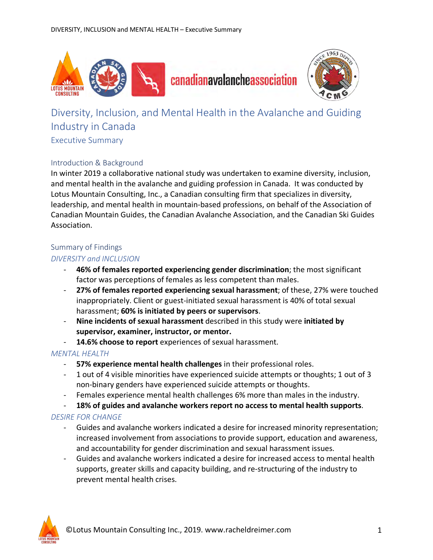



# Diversity, Inclusion, and Mental Health in the Avalanche and Guiding Industry in Canada

## Executive Summary

## Introduction & Background

In winter 2019 a collaborative national study was undertaken to examine diversity, inclusion, and mental health in the avalanche and guiding profession in Canada. It was conducted by Lotus Mountain Consulting, Inc., a Canadian consulting firm that specializes in diversity, leadership, and mental health in mountain-based professions, on behalf of the Association of Canadian Mountain Guides, the Canadian Avalanche Association, and the Canadian Ski Guides Association.

#### Summary of Findings

## *DIVERSITY and INCLUSION*

- **46% of females reported experiencing gender discrimination**; the most significant factor was perceptions of females as less competent than males.
- **27% of females reported experiencing sexual harassment**; of these, 27% were touched inappropriately. Client or guest-initiated sexual harassment is 40% of total sexual harassment; **60% is initiated by peers or supervisors**.
- **Nine incidents of sexual harassment** described in this study were **initiated by supervisor, examiner, instructor, or mentor.**
- **14.6% choose to report** experiences of sexual harassment.

## *MENTAL HEALTH*

- **57% experience mental health challenges** in their professional roles.
- 1 out of 4 visible minorities have experienced suicide attempts or thoughts; 1 out of 3 non-binary genders have experienced suicide attempts or thoughts.
- Females experience mental health challenges 6% more than males in the industry.
- **18% of guides and avalanche workers report no access to mental health supports**.

## *DESIRE FOR CHANGE*

- Guides and avalanche workers indicated a desire for increased minority representation; increased involvement from associations to provide support, education and awareness, and accountability for gender discrimination and sexual harassment issues.
- Guides and avalanche workers indicated a desire for increased access to mental health supports, greater skills and capacity building, and re-structuring of the industry to prevent mental health crises.

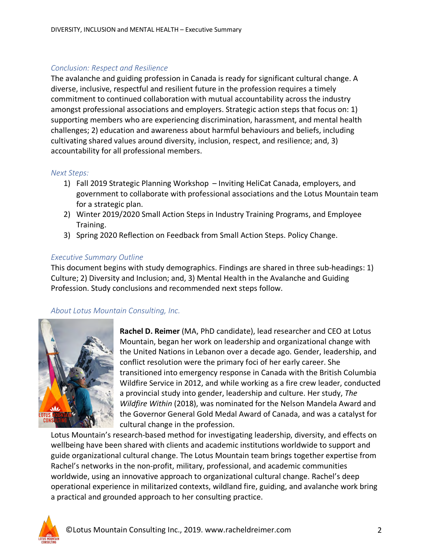## *Conclusion: Respect and Resilience*

The avalanche and guiding profession in Canada is ready for significant cultural change. A diverse, inclusive, respectful and resilient future in the profession requires a timely commitment to continued collaboration with mutual accountability across the industry amongst professional associations and employers. Strategic action steps that focus on: 1) supporting members who are experiencing discrimination, harassment, and mental health challenges; 2) education and awareness about harmful behaviours and beliefs, including cultivating shared values around diversity, inclusion, respect, and resilience; and, 3) accountability for all professional members.

#### *Next Steps:*

- 1) Fall 2019 Strategic Planning Workshop Inviting HeliCat Canada, employers, and government to collaborate with professional associations and the Lotus Mountain team for a strategic plan.
- 2) Winter 2019/2020 Small Action Steps in Industry Training Programs, and Employee Training.
- 3) Spring 2020 Reflection on Feedback from Small Action Steps. Policy Change.

## *Executive Summary Outline*

This document begins with study demographics. Findings are shared in three sub-headings: 1) Culture; 2) Diversity and Inclusion; and, 3) Mental Health in the Avalanche and Guiding Profession. Study conclusions and recommended next steps follow.

## *About Lotus Mountain Consulting, Inc.*



**Rachel D. Reimer** (MA, PhD candidate), lead researcher and CEO at Lotus Mountain, began her work on leadership and organizational change with the United Nations in Lebanon over a decade ago. Gender, leadership, and conflict resolution were the primary foci of her early career. She transitioned into emergency response in Canada with the British Columbia Wildfire Service in 2012, and while working as a fire crew leader, conducted a provincial study into gender, leadership and culture. Her study, *The Wildfire Within* (2018), was nominated for the Nelson Mandela Award and the Governor General Gold Medal Award of Canada, and was a catalyst for cultural change in the profession.

Lotus Mountain's research-based method for investigating leadership, diversity, and effects on wellbeing have been shared with clients and academic institutions worldwide to support and guide organizational cultural change. The Lotus Mountain team brings together expertise from Rachel's networks in the non-profit, military, professional, and academic communities worldwide, using an innovative approach to organizational cultural change. Rachel's deep operational experience in militarized contexts, wildland fire, guiding, and avalanche work bring a practical and grounded approach to her consulting practice.

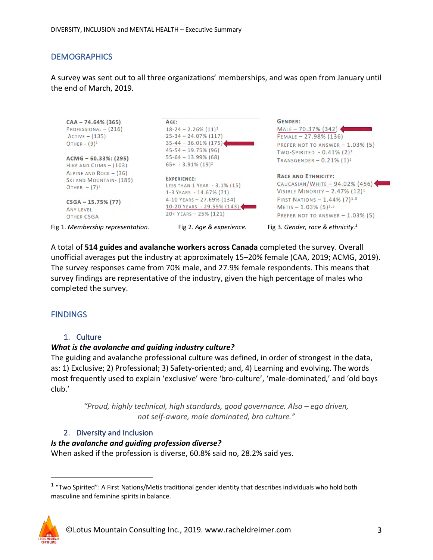## **DEMOGRAPHICS**

A survey was sent out to all three organizations' memberships, and was open from January until the end of March, 2019.



A total of **514 guides and avalanche workers across Canada** completed the survey. Overall unofficial averages put the industry at approximately 15–20% female (CAA, 2019; ACMG, 2019). The survey responses came from 70% male, and 27.9% female respondents. This means that survey findings are representative of the industry, given the high percentage of males who completed the survey.

## **FINDINGS**

#### 1. Culture

#### *What is the avalanche and guiding industry culture?*

The guiding and avalanche professional culture was defined, in order of strongest in the data, as: 1) Exclusive; 2) Professional; 3) Safety-oriented; and, 4) Learning and evolving. The words most frequently used to explain 'exclusive' were 'bro-culture', 'male-dominated,' and 'old boys club.'

*"Proud, highly technical, high standards, good governance. Also – ego driven, not self-aware, male dominated, bro culture."*

#### 2. Diversity and Inclusion

#### *Is the avalanche and guiding profession diverse?*

When asked if the profession is diverse, 60.8% said no, 28.2% said yes.

 <sup>1</sup> "Two Spirited": A First Nations/Metis traditional gender identity that describes individuals who hold both masculine and feminine spirits in balance.

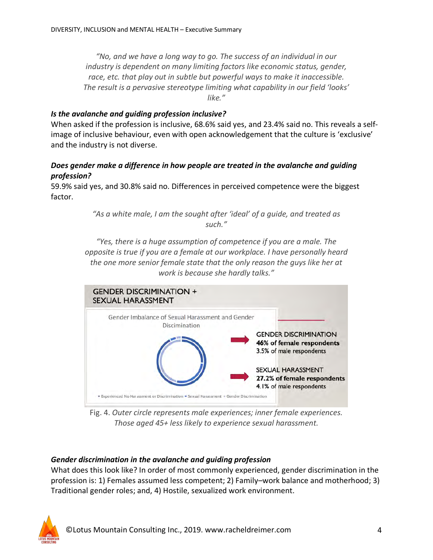*"No, and we have a long way to go. The success of an individual in our industry is dependent on many limiting factors like economic status, gender, race, etc. that play out in subtle but powerful ways to make it inaccessible. The result is a pervasive stereotype limiting what capability in our field 'looks' like."*

## *Is the avalanche and guiding profession inclusive?*

When asked if the profession is inclusive, 68.6% said yes, and 23.4% said no. This reveals a selfimage of inclusive behaviour, even with open acknowledgement that the culture is 'exclusive' and the industry is not diverse.

## *Does gender make a difference in how people are treated in the avalanche and guiding profession?*

59.9% said yes, and 30.8% said no. Differences in perceived competence were the biggest factor.

> *"As a white male, I am the sought after 'ideal' of a guide, and treated as such."*

*"Yes, there is a huge assumption of competence if you are a male. The opposite is true if you are a female at our workplace. I have personally heard the one more senior female state that the only reason the guys like her at work is because she hardly talks."*



Fig. 4. *Outer circle represents male experiences; inner female experiences. Those aged 45+ less likely to experience sexual harassment.* 

## *Gender discrimination in the avalanche and guiding profession*

What does this look like? In order of most commonly experienced, gender discrimination in the profession is: 1) Females assumed less competent; 2) Family–work balance and motherhood; 3) Traditional gender roles; and, 4) Hostile, sexualized work environment.

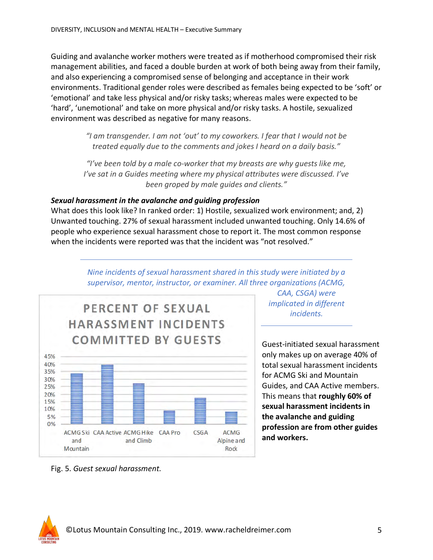Guiding and avalanche worker mothers were treated as if motherhood compromised their risk management abilities, and faced a double burden at work of both being away from their family, and also experiencing a compromised sense of belonging and acceptance in their work environments. Traditional gender roles were described as females being expected to be 'soft' or 'emotional' and take less physical and/or risky tasks; whereas males were expected to be 'hard', 'unemotional' and take on more physical and/or risky tasks. A hostile, sexualized environment was described as negative for many reasons.

> *"I am transgender. I am not 'out' to my coworkers. I fear that I would not be treated equally due to the comments and jokes I heard on a daily basis."*

*"I've been told by a male co-worker that my breasts are why guests like me, I've sat in a Guides meeting where my physical attributes were discussed. I've been groped by male guides and clients."*

## *Sexual harassment in the avalanche and guiding profession*

What does this look like? In ranked order: 1) Hostile, sexualized work environment; and, 2) Unwanted touching. 27% of sexual harassment included unwanted touching. Only 14.6% of people who experience sexual harassment chose to report it. The most common response when the incidents were reported was that the incident was "not resolved."



*Nine incidents of sexual harassment shared in this study were initiated by a supervisor, mentor, instructor, or examiner. All three organizations (ACMG,* 

> *CAA, CSGA) were implicated in different incidents.*

Guest-initiated sexual harassment only makes up on average 40% of total sexual harassment incidents for ACMG Ski and Mountain Guides, and CAA Active members. This means that **roughly 60% of sexual harassment incidents in the avalanche and guiding profession are from other guides and workers.**

Fig. 5. *Guest sexual harassment.*

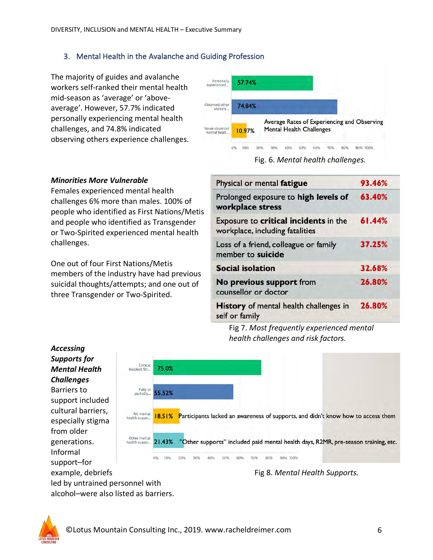## 3. Mental Health in the Avalanche and Guiding Profession

The majority of guides and avalanche workers self-ranked their mental health mid-season as 'average' or 'aboveaverage'. However, 57.7% indicated personally experiencing mental health challenges, and 74.8% indicated observing others experience challenges.



Fig. 6. *Mental health challenges.*

#### *Minorities More Vulnerable*

Females experienced mental health challenges 6% more than males. 100% of people who identified as First Nations/Metis and people who identified as Transgender or Two-Spirited experienced mental health challenges.

One out of four First Nations/Metis members of the industry have had previous suicidal thoughts/attempts; and one out of three Transgender or Two-Spirited.

| Physical or mental fatigue                                               | 93.46% |
|--------------------------------------------------------------------------|--------|
| Prolonged exposure to high levels of<br>workplace stress                 | 63.40% |
| Exposure to critical incidents in the<br>workplace, including fatalities | 61.44% |
| Loss of a friend, colleague or family<br>member to suicide               | 37.25% |
| <b>Social isolation</b>                                                  | 32.68% |
| No previous support from<br>counsellor or doctor                         | 26.80% |
| <b>History</b> of mental health challenges in<br>self or family          | 26.80% |

Fig 7. *Most frequently experienced mental health challenges and risk factors.*



led by untrained personnel with alcohol–were also listed as barriers.

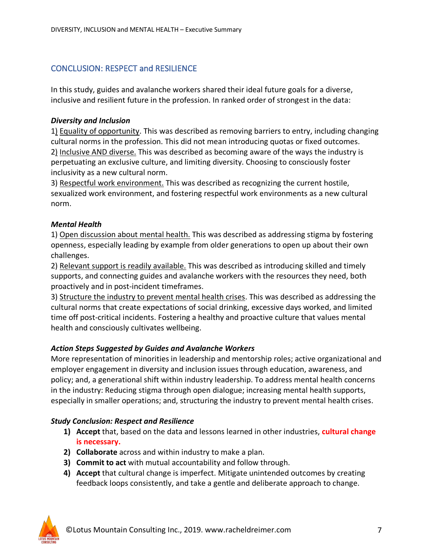## CONCLUSION: RESPECT and RESILIENCE

In this study, guides and avalanche workers shared their ideal future goals for a diverse, inclusive and resilient future in the profession. In ranked order of strongest in the data:

## *Diversity and Inclusion*

1) Equality of opportunity. This was described as removing barriers to entry, including changing cultural norms in the profession. This did not mean introducing quotas or fixed outcomes. 2) Inclusive AND diverse. This was described as becoming aware of the ways the industry is perpetuating an exclusive culture, and limiting diversity. Choosing to consciously foster inclusivity as a new cultural norm.

3) Respectful work environment. This was described as recognizing the current hostile, sexualized work environment, and fostering respectful work environments as a new cultural norm.

## *Mental Health*

1) Open discussion about mental health. This was described as addressing stigma by fostering openness, especially leading by example from older generations to open up about their own challenges.

2) Relevant support is readily available. This was described as introducing skilled and timely supports, and connecting guides and avalanche workers with the resources they need, both proactively and in post-incident timeframes.

3) Structure the industry to prevent mental health crises. This was described as addressing the cultural norms that create expectations of social drinking, excessive days worked, and limited time off post-critical incidents. Fostering a healthy and proactive culture that values mental health and consciously cultivates wellbeing.

## *Action Steps Suggested by Guides and Avalanche Workers*

More representation of minorities in leadership and mentorship roles; active organizational and employer engagement in diversity and inclusion issues through education, awareness, and policy; and, a generational shift within industry leadership. To address mental health concerns in the industry: Reducing stigma through open dialogue; increasing mental health supports, especially in smaller operations; and, structuring the industry to prevent mental health crises.

#### *Study Conclusion: Respect and Resilience*

- **1) Accept** that, based on the data and lessons learned in other industries, **cultural change is necessary.**
- **2) Collaborate** across and within industry to make a plan.
- **3) Commit to act** with mutual accountability and follow through.
- **4) Accept** that cultural change is imperfect. Mitigate unintended outcomes by creating feedback loops consistently, and take a gentle and deliberate approach to change.